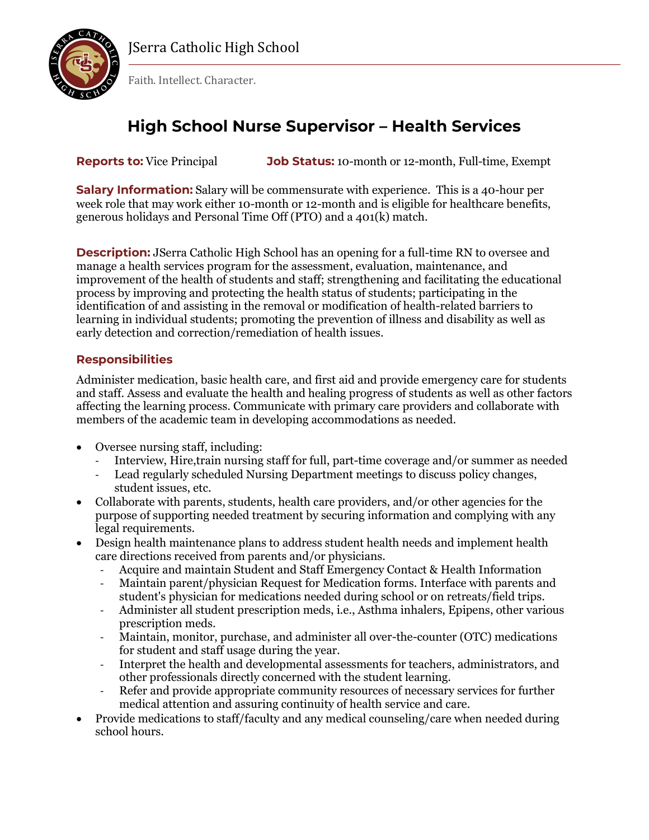

JSerra Catholic High School

Faith. Intellect. Character.

# **High School Nurse Supervisor – Health Services**

**Reports to:** Vice Principal **Job Status:** 10-month or 12-month, Full-time, Exempt

**Salary Information:** Salary will be commensurate with experience. This is a 40-hour per week role that may work either 10-month or 12-month and is eligible for healthcare benefits, generous holidays and Personal Time Off (PTO) and a 401(k) match.

**Description:** JSerra Catholic High School has an opening for a full-time RN to oversee and manage a health services program for the assessment, evaluation, maintenance, and improvement of the health of students and staff; strengthening and facilitating the educational process by improving and protecting the health status of students; participating in the identification of and assisting in the removal or modification of health-related barriers to learning in individual students; promoting the prevention of illness and disability as well as early detection and correction/remediation of health issues.

### **Responsibilities**

Administer medication, basic health care, and first aid and provide emergency care for students and staff. Assess and evaluate the health and healing progress of students as well as other factors affecting the learning process. Communicate with primary care providers and collaborate with members of the academic team in developing accommodations as needed.

- Oversee nursing staff, including:
	- Interview, Hire,train nursing staff for full, part-time coverage and/or summer as needed
	- Lead regularly scheduled Nursing Department meetings to discuss policy changes, student issues, etc.
- Collaborate with parents, students, health care providers, and/or other agencies for the purpose of supporting needed treatment by securing information and complying with any legal requirements.
- Design health maintenance plans to address student health needs and implement health care directions received from parents and/or physicians.
	- Acquire and maintain Student and Staff Emergency Contact & Health Information
	- Maintain parent/physician Request for Medication forms. Interface with parents and student's physician for medications needed during school or on retreats/field trips.
	- Administer all student prescription meds, i.e., Asthma inhalers, Epipens, other various prescription meds.
	- Maintain, monitor, purchase, and administer all over-the-counter (OTC) medications for student and staff usage during the year.
	- Interpret the health and developmental assessments for teachers, administrators, and other professionals directly concerned with the student learning.
	- Refer and provide appropriate community resources of necessary services for further medical attention and assuring continuity of health service and care.
- Provide medications to staff/faculty and any medical counseling/care when needed during school hours.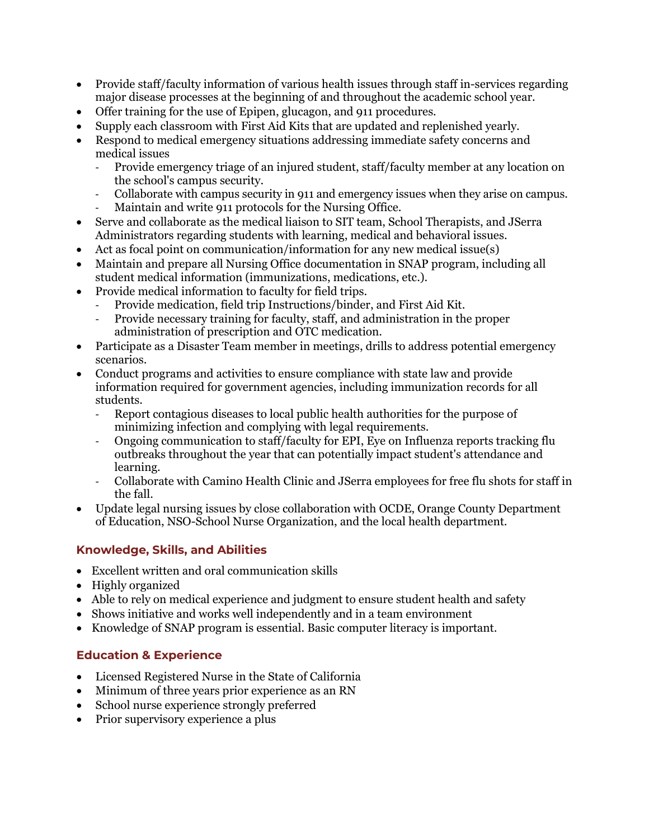- Provide staff/faculty information of various health issues through staff in-services regarding major disease processes at the beginning of and throughout the academic school year.
- Offer training for the use of Epipen, glucagon, and 911 procedures.
- Supply each classroom with First Aid Kits that are updated and replenished yearly.
- Respond to medical emergency situations addressing immediate safety concerns and medical issues
	- Provide emergency triage of an injured student, staff/faculty member at any location on the school's campus security.
	- Collaborate with campus security in 911 and emergency issues when they arise on campus.
	- Maintain and write 911 protocols for the Nursing Office.
- Serve and collaborate as the medical liaison to SIT team, School Therapists, and JSerra Administrators regarding students with learning, medical and behavioral issues.
- Act as focal point on communication/information for any new medical issue(s)
- Maintain and prepare all Nursing Office documentation in SNAP program, including all student medical information (immunizations, medications, etc.).
- Provide medical information to faculty for field trips.
	- Provide medication, field trip Instructions/binder, and First Aid Kit.
	- Provide necessary training for faculty, staff, and administration in the proper administration of prescription and OTC medication.
- Participate as a Disaster Team member in meetings, drills to address potential emergency scenarios.
- Conduct programs and activities to ensure compliance with state law and provide information required for government agencies, including immunization records for all students.
	- Report contagious diseases to local public health authorities for the purpose of minimizing infection and complying with legal requirements.
	- Ongoing communication to staff/faculty for EPI, Eye on Influenza reports tracking flu outbreaks throughout the year that can potentially impact student's attendance and learning.
	- Collaborate with Camino Health Clinic and JSerra employees for free flu shots for staff in the fall.
- Update legal nursing issues by close collaboration with OCDE, Orange County Department of Education, NSO-School Nurse Organization, and the local health department.

### **Knowledge, Skills, and Abilities**

- Excellent written and oral communication skills
- Highly organized
- Able to rely on medical experience and judgment to ensure student health and safety
- Shows initiative and works well independently and in a team environment
- Knowledge of SNAP program is essential. Basic computer literacy is important.

### **Education & Experience**

- Licensed Registered Nurse in the State of California
- Minimum of three years prior experience as an RN
- School nurse experience strongly preferred
- Prior supervisory experience a plus